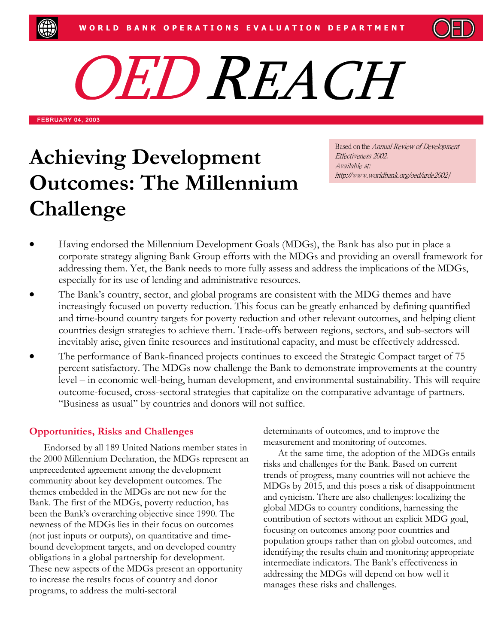

O ED REACH

FEBRUARY 04, 2003

# **Achieving Development Outcomes: The Millennium Challenge**

Based on the Annual Review of Development Effectiveness 2002. Available at: http://www.worldbank.org/oed/arde2002*/*

- Having endorsed the Millennium Development Goals (MDGs), the Bank has also put in place a corporate strategy aligning Bank Group efforts with the MDGs and providing an overall framework for addressing them. Yet, the Bank needs to more fully assess and address the implications of the MDGs, especially for its use of lending and administrative resources.
- The Bank's country, sector, and global programs are consistent with the MDG themes and have increasingly focused on poverty reduction. This focus can be greatly enhanced by defining quantified and time-bound country targets for poverty reduction and other relevant outcomes, and helping client countries design strategies to achieve them. Trade-offs between regions, sectors, and sub-sectors will inevitably arise, given finite resources and institutional capacity, and must be effectively addressed.
- The performance of Bank-financed projects continues to exceed the Strategic Compact target of 75 percent satisfactory. The MDGs now challenge the Bank to demonstrate improvements at the country level – in economic well-being, human development, and environmental sustainability. This will require outcome-focused, cross-sectoral strategies that capitalize on the comparative advantage of partners. "Business as usual" by countries and donors will not suffice.

## **Opportunities, Risks and Challenges**

Endorsed by all 189 United Nations member states in the 2000 Millennium Declaration, the MDGs represent an unprecedented agreement among the development community about key development outcomes. The themes embedded in the MDGs are not new for the Bank. The first of the MDGs, poverty reduction, has been the Bank's overarching objective since 1990. The newness of the MDGs lies in their focus on outcomes (not just inputs or outputs), on quantitative and timebound development targets, and on developed country obligations in a global partnership for development. These new aspects of the MDGs present an opportunity to increase the results focus of country and donor programs, to address the multi-sectoral

determinants of outcomes, and to improve the measurement and monitoring of outcomes.

At the same time, the adoption of the MDGs entails risks and challenges for the Bank. Based on current trends of progress, many countries will not achieve the MDGs by 2015, and this poses a risk of disappointment and cynicism. There are also challenges: localizing the global MDGs to country conditions, harnessing the contribution of sectors without an explicit MDG goal, focusing on outcomes among poor countries and population groups rather than on global outcomes, and identifying the results chain and monitoring appropriate intermediate indicators. The Bank's effectiveness in addressing the MDGs will depend on how well it manages these risks and challenges.